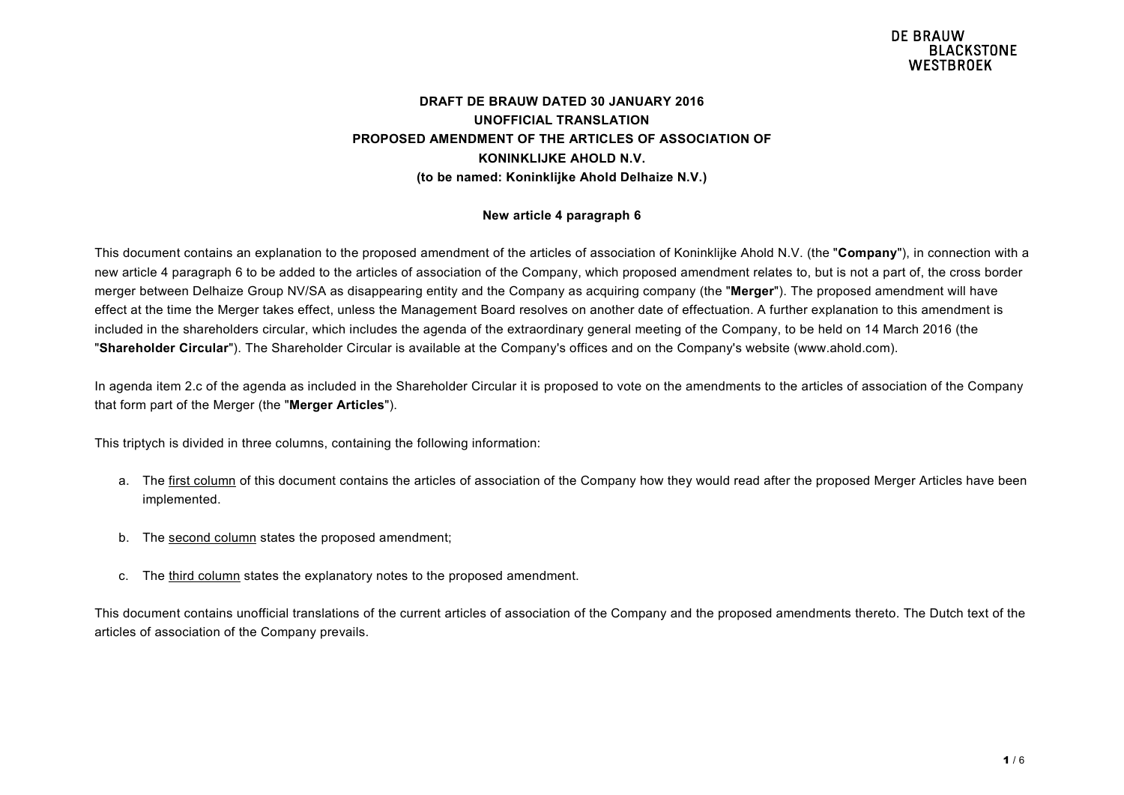#### **DRAFT DE BRAUW DATED 30 JANUARY 2016 UNOFFICIAL TRANSLATION PROPOSED AMENDMENT OF THE ARTICLES OF ASSOCIATION OF KONINKLIJKE AHOLD N.V. (to be named: Koninklijke Ahold Delhaize N.V.)**

#### **New article 4 paragraph 6**

This document contains an explanation to the proposed amendment of the articles of association of Koninklijke Ahold N.V. (the "**Company**"), in connection with a new article 4 paragraph 6 to be added to the articles of association of the Company, which proposed amendment relates to, but is not a part of, the cross border merger between Delhaize Group NV/SA as disappearing entity and the Company as acquiring company (the "**Merger**"). The proposed amendment will have effect at the time the Merger takes effect, unless the Management Board resolves on another date of effectuation. A further explanation to this amendment is included in the shareholders circular, which includes the agenda of the extraordinary general meeting of the Company, to be held on 14 March 2016 (the "**Shareholder Circular**"). The Shareholder Circular is available at the Company's offices and on the Company's website (www.ahold.com).

In agenda item 2.c of the agenda as included in the Shareholder Circular it is proposed to vote on the amendments to the articles of association of the Company that form part of the Merger (the "**Merger Articles**").

This triptych is divided in three columns, containing the following information:

- a. The first column of this document contains the articles of association of the Company how they would read after the proposed Merger Articles have been implemented.
- b. The second column states the proposed amendment;
- c. The third column states the explanatory notes to the proposed amendment.

This document contains unofficial translations of the current articles of association of the Company and the proposed amendments thereto. The Dutch text of the articles of association of the Company prevails.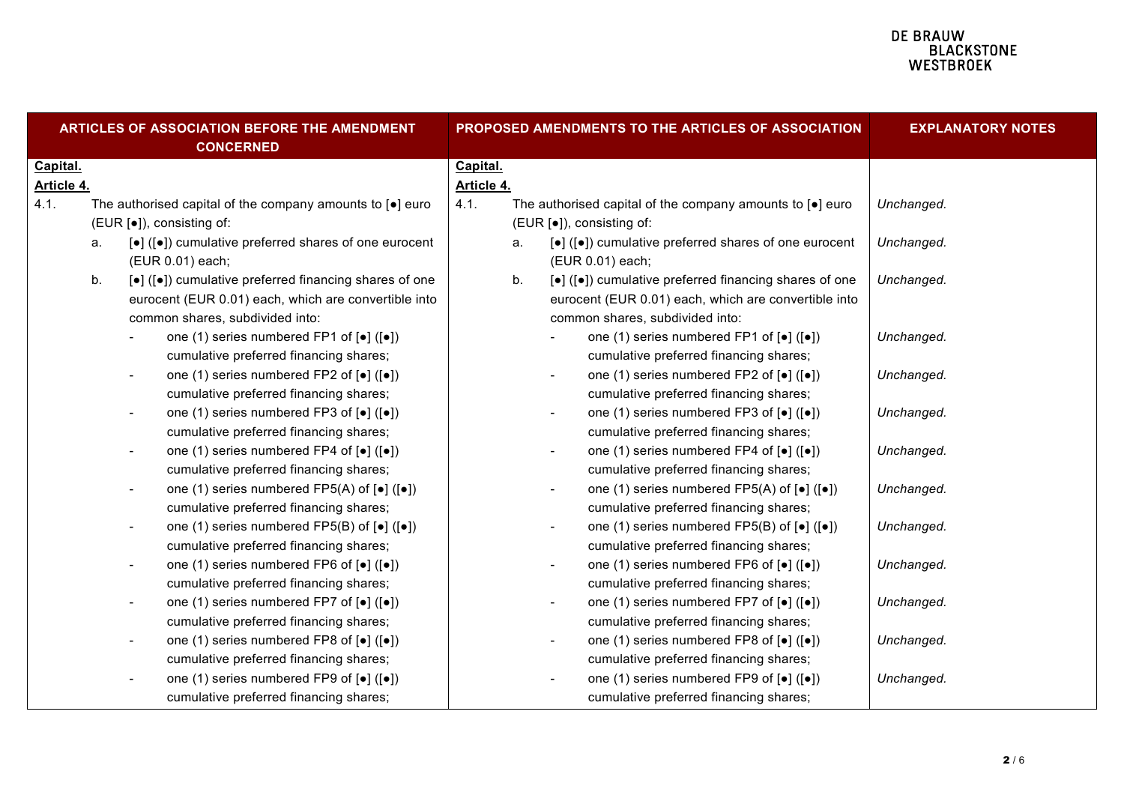# **DE BRAUW<br>BLACKSTONE<br>WESTBROEK**

| ARTICLES OF ASSOCIATION BEFORE THE AMENDMENT<br><b>CONCERNED</b> |                           |                                                           |                                                                                             |                           |    |                          | PROPOSED AMENDMENTS TO THE ARTICLES OF ASSOCIATION                                      | <b>EXPLANATORY NOTES</b> |
|------------------------------------------------------------------|---------------------------|-----------------------------------------------------------|---------------------------------------------------------------------------------------------|---------------------------|----|--------------------------|-----------------------------------------------------------------------------------------|--------------------------|
| Capital.                                                         |                           |                                                           | Capital.                                                                                    |                           |    |                          |                                                                                         |                          |
| Article 4.                                                       |                           |                                                           | Article 4.                                                                                  |                           |    |                          |                                                                                         |                          |
| 4.1.                                                             |                           | The authorised capital of the company amounts to [.] euro |                                                                                             | 4.1.                      |    |                          | The authorised capital of the company amounts to [.] euro                               | Unchanged.               |
|                                                                  | (EUR [•]), consisting of: |                                                           |                                                                                             | (EUR [•]), consisting of: |    |                          |                                                                                         |                          |
|                                                                  | a.                        |                                                           | [•] ([•]) cumulative preferred shares of one eurocent                                       |                           | a. |                          | [•] ([•]) cumulative preferred shares of one eurocent                                   | Unchanged.               |
|                                                                  |                           |                                                           | (EUR 0.01) each;                                                                            |                           |    |                          | (EUR 0.01) each;                                                                        |                          |
|                                                                  | b.                        |                                                           | [•] ([•]) cumulative preferred financing shares of one                                      |                           | b. |                          | [•] ([•]) cumulative preferred financing shares of one                                  | Unchanged.               |
|                                                                  |                           |                                                           | eurocent (EUR 0.01) each, which are convertible into                                        |                           |    |                          | eurocent (EUR 0.01) each, which are convertible into                                    |                          |
|                                                                  |                           |                                                           | common shares, subdivided into:                                                             |                           |    |                          | common shares, subdivided into:                                                         |                          |
|                                                                  |                           |                                                           | one (1) series numbered FP1 of $\lceil \bullet \rceil$ ( $\lceil \bullet \rceil$ )          |                           |    |                          | one (1) series numbered FP1 of $\lceil \bullet \rceil$ ( $\lceil \bullet \rceil$ )      | Unchanged.               |
|                                                                  |                           |                                                           | cumulative preferred financing shares;                                                      |                           |    |                          | cumulative preferred financing shares;                                                  |                          |
|                                                                  |                           | $\overline{\phantom{a}}$                                  | one (1) series numbered FP2 of [ $\bullet$ ] ([ $\bullet$ ])                                |                           |    |                          | one (1) series numbered FP2 of [ $\bullet$ ] ([ $\bullet$ ])                            | Unchanged.               |
|                                                                  |                           |                                                           | cumulative preferred financing shares;                                                      |                           |    |                          | cumulative preferred financing shares;                                                  |                          |
|                                                                  |                           |                                                           | one (1) series numbered FP3 of $\lceil \bullet \rceil$ ( $\lceil \bullet \rceil$ )          |                           |    |                          | one (1) series numbered FP3 of $\lceil \bullet \rceil$ ( $\lceil \bullet \rceil$ )      | Unchanged.               |
|                                                                  |                           |                                                           | cumulative preferred financing shares;                                                      |                           |    |                          | cumulative preferred financing shares;                                                  |                          |
|                                                                  |                           |                                                           | one (1) series numbered FP4 of [ $\bullet$ ] ([ $\bullet$ ])                                |                           |    |                          | one (1) series numbered FP4 of [ $\bullet$ ] ([ $\bullet$ ])                            | Unchanged.               |
|                                                                  |                           |                                                           | cumulative preferred financing shares;                                                      |                           |    |                          | cumulative preferred financing shares;                                                  |                          |
|                                                                  |                           | $\overline{\phantom{a}}$                                  | one (1) series numbered $FP5(A)$ of $\lceil \bullet \rceil$ ( $\lceil \bullet \rceil$ )     |                           |    | $\overline{\phantom{a}}$ | one (1) series numbered $FP5(A)$ of $\lceil \bullet \rceil$ ( $\lceil \bullet \rceil$ ) | Unchanged.               |
|                                                                  |                           |                                                           | cumulative preferred financing shares;                                                      |                           |    |                          | cumulative preferred financing shares;                                                  |                          |
|                                                                  |                           |                                                           | one (1) series numbered $FP5(B)$ of $\lbrack \bullet \rbrack$ ( $\lbrack \bullet \rbrack$ ) |                           |    |                          | one (1) series numbered FP5(B) of $\left[\bullet\right]$ ( $\left[\bullet\right]$ )     | Unchanged.               |
|                                                                  |                           |                                                           | cumulative preferred financing shares;                                                      |                           |    |                          | cumulative preferred financing shares;                                                  |                          |
|                                                                  |                           | $\overline{\phantom{a}}$                                  | one (1) series numbered FP6 of [ $\bullet$ ] ([ $\bullet$ ])                                |                           |    |                          | one (1) series numbered FP6 of [ $\bullet$ ] ([ $\bullet$ ])                            | Unchanged.               |
|                                                                  |                           |                                                           | cumulative preferred financing shares;                                                      |                           |    |                          | cumulative preferred financing shares;                                                  |                          |
|                                                                  |                           | $\overline{\phantom{a}}$                                  | one (1) series numbered FP7 of [ $\bullet$ ] ([ $\bullet$ ])                                |                           |    |                          | one (1) series numbered FP7 of [•] ([•])                                                | Unchanged.               |
|                                                                  |                           |                                                           | cumulative preferred financing shares;                                                      |                           |    |                          | cumulative preferred financing shares;                                                  |                          |
|                                                                  |                           | $\overline{\phantom{a}}$                                  | one (1) series numbered FP8 of [ $\bullet$ ] ([ $\bullet$ ])                                |                           |    | $\overline{\phantom{a}}$ | one (1) series numbered FP8 of [ $\bullet$ ] ([ $\bullet$ ])                            | Unchanged.               |
|                                                                  |                           |                                                           | cumulative preferred financing shares;                                                      |                           |    |                          | cumulative preferred financing shares;                                                  |                          |
|                                                                  |                           |                                                           | one (1) series numbered FP9 of [ $\bullet$ ] ([ $\bullet$ ])                                |                           |    |                          | one (1) series numbered FP9 of [•] ([•])                                                | Unchanged.               |
|                                                                  |                           |                                                           | cumulative preferred financing shares;                                                      |                           |    |                          | cumulative preferred financing shares;                                                  |                          |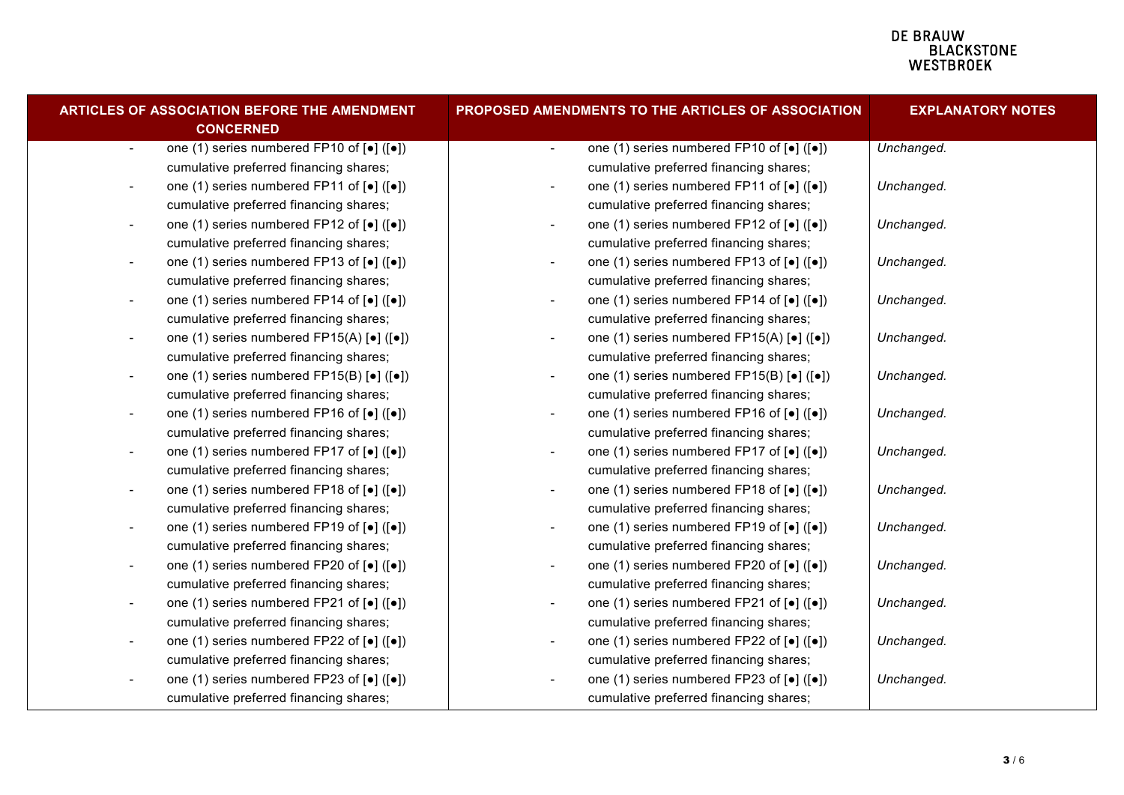## **DE BRAUW<br>BLACKSTONE<br>WESTBROEK**

| ARTICLES OF ASSOCIATION BEFORE THE AMENDMENT<br><b>CONCERNED</b>                                                  | <b>PROPOSED AMENDMENTS TO THE ARTICLES OF ASSOCIATION</b>                                                       | <b>EXPLANATORY NOTES</b> |
|-------------------------------------------------------------------------------------------------------------------|-----------------------------------------------------------------------------------------------------------------|--------------------------|
| one (1) series numbered FP10 of [ $\bullet$ ] ([ $\bullet$ ])<br>$\overline{\phantom{a}}$                         | one (1) series numbered FP10 of $\lceil \bullet \rceil$ ( $\lceil \bullet \rceil$ )<br>$\blacksquare$           | Unchanged.               |
| cumulative preferred financing shares;                                                                            | cumulative preferred financing shares;                                                                          |                          |
| one (1) series numbered FP11 of [•] ([•])<br>$\overline{\phantom{a}}$                                             | one (1) series numbered FP11 of [•] ([•])<br>$\overline{\phantom{a}}$                                           | Unchanged.               |
| cumulative preferred financing shares;                                                                            | cumulative preferred financing shares;                                                                          |                          |
| one (1) series numbered FP12 of $\lceil \bullet \rceil$ ( $\lceil \bullet \rceil$ )<br>$\overline{\phantom{a}}$   | one (1) series numbered FP12 of [ $\bullet$ ] ([ $\bullet$ ])<br>$\overline{\phantom{a}}$                       | Unchanged.               |
| cumulative preferred financing shares;                                                                            | cumulative preferred financing shares;                                                                          |                          |
| one (1) series numbered FP13 of [ $\bullet$ ] ( $\lbrack \bullet \rbrack$ )<br>$\overline{\phantom{a}}$           | one (1) series numbered FP13 of [ $\bullet$ ] ([ $\bullet$ ])<br>$\overline{\phantom{a}}$                       | Unchanged.               |
| cumulative preferred financing shares;                                                                            | cumulative preferred financing shares;                                                                          |                          |
| one (1) series numbered FP14 of [ $\bullet$ ] ([ $\bullet$ ])<br>$\overline{\phantom{a}}$                         | one (1) series numbered FP14 of $[•] ([•])$<br>$\overline{\phantom{a}}$                                         | Unchanged.               |
| cumulative preferred financing shares;                                                                            | cumulative preferred financing shares;                                                                          |                          |
| one (1) series numbered FP15(A) [•] ([•])<br>$\overline{\phantom{a}}$                                             | one (1) series numbered $FP15(A)$ [ $\bullet$ ] ([ $\bullet$ ])<br>$\overline{\phantom{a}}$                     | Unchanged.               |
| cumulative preferred financing shares;                                                                            | cumulative preferred financing shares;                                                                          |                          |
| one (1) series numbered $FP15(B)$ [ $\bullet$ ] ([ $\bullet$ ])<br>$\overline{\phantom{a}}$                       | one (1) series numbered FP15(B) [ $\bullet$ ] ([ $\bullet$ ])<br>$\overline{\phantom{a}}$                       | Unchanged.               |
| cumulative preferred financing shares;                                                                            | cumulative preferred financing shares;                                                                          |                          |
| one (1) series numbered FP16 of [ $\bullet$ ] ([ $\bullet$ ])<br>$\overline{\phantom{a}}$                         | one (1) series numbered FP16 of [ $\bullet$ ] ([ $\bullet$ ])<br>$\overline{\phantom{a}}$                       | Unchanged.               |
| cumulative preferred financing shares;                                                                            | cumulative preferred financing shares;                                                                          |                          |
| one (1) series numbered FP17 of [•] ([•])<br>$\overline{\phantom{a}}$                                             | one (1) series numbered FP17 of [•] ([•])<br>$\overline{\phantom{a}}$                                           | Unchanged.               |
| cumulative preferred financing shares;                                                                            | cumulative preferred financing shares;                                                                          |                          |
| one (1) series numbered FP18 of $\left[ \bullet \right]$ ( $\left[ \bullet \right]$ )<br>$\overline{\phantom{a}}$ | one (1) series numbered FP18 of [ $\bullet$ ] ([ $\bullet$ ])<br>$\overline{\phantom{a}}$                       | Unchanged.               |
| cumulative preferred financing shares;                                                                            | cumulative preferred financing shares;                                                                          |                          |
| one (1) series numbered FP19 of [ $\bullet$ ] ( $\lbrack \bullet \rbrack$ )<br>$\overline{\phantom{a}}$           | one (1) series numbered FP19 of [ $\bullet$ ] ([ $\bullet$ ])                                                   | Unchanged.               |
| cumulative preferred financing shares;                                                                            | cumulative preferred financing shares;                                                                          |                          |
| one (1) series numbered FP20 of $\lceil \bullet \rceil$ ( $\lceil \bullet \rceil$ )<br>$\overline{\phantom{a}}$   | one (1) series numbered FP20 of $\lceil \bullet \rceil$ ( $\lceil \bullet \rceil$ )<br>$\overline{\phantom{a}}$ | Unchanged.               |
| cumulative preferred financing shares;                                                                            | cumulative preferred financing shares;                                                                          |                          |
| one (1) series numbered FP21 of $\left[\bullet\right]$ ( $\left[\bullet\right]$ )                                 | one (1) series numbered FP21 of $\left[ \bullet \right]$ ( $\left[ \bullet \right]$ )                           | Unchanged.               |
| cumulative preferred financing shares;                                                                            | cumulative preferred financing shares;                                                                          |                          |
| one (1) series numbered FP22 of [•] ([•])                                                                         | one (1) series numbered FP22 of [ $\bullet$ ] ( $[\bullet]$ )<br>$\overline{\phantom{a}}$                       | Unchanged.               |
| cumulative preferred financing shares;                                                                            | cumulative preferred financing shares;                                                                          |                          |
| one (1) series numbered FP23 of [ $\bullet$ ] ( $\lceil\bullet\rceil$ )                                           | one (1) series numbered FP23 of [ $\bullet$ ] ( $\lceil\bullet\rceil$ )                                         | Unchanged.               |
| cumulative preferred financing shares;                                                                            | cumulative preferred financing shares;                                                                          |                          |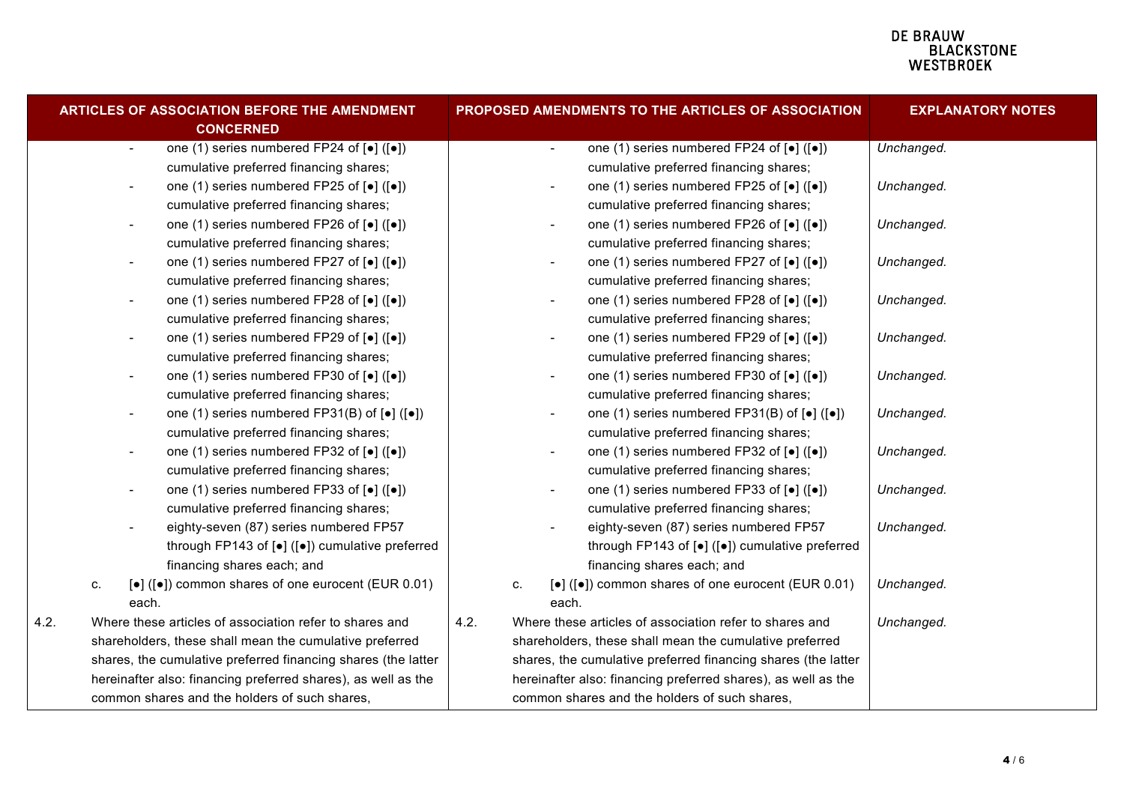### **DE BRAUW E BIACKSTONE**<br>
WESTBROEK

| ARTICLES OF ASSOCIATION BEFORE THE AMENDMENT<br><b>CONCERNED</b> |                                                         |                          |                                                                                            |      |                                                               |                                               | PROPOSED AMENDMENTS TO THE ARTICLES OF ASSOCIATION                                    | <b>EXPLANATORY NOTES</b> |  |
|------------------------------------------------------------------|---------------------------------------------------------|--------------------------|--------------------------------------------------------------------------------------------|------|---------------------------------------------------------------|-----------------------------------------------|---------------------------------------------------------------------------------------|--------------------------|--|
|                                                                  |                                                         | $\overline{\phantom{a}}$ | one (1) series numbered FP24 of [ $\bullet$ ] ( $\lbrack \bullet \rbrack$ )                |      |                                                               | $\overline{\phantom{a}}$                      | one (1) series numbered FP24 of [ $\bullet$ ] ([ $\bullet$ ])                         | Unchanged.               |  |
|                                                                  |                                                         |                          | cumulative preferred financing shares;                                                     |      |                                                               |                                               | cumulative preferred financing shares;                                                |                          |  |
|                                                                  |                                                         |                          | one (1) series numbered FP25 of [•] ([•])                                                  |      |                                                               |                                               | one (1) series numbered FP25 of $\lceil \bullet \rceil$ ( $\lceil \bullet \rceil$ )   | Unchanged.               |  |
|                                                                  |                                                         |                          | cumulative preferred financing shares;                                                     |      |                                                               |                                               | cumulative preferred financing shares;                                                |                          |  |
|                                                                  |                                                         | $\overline{\phantom{a}}$ | one (1) series numbered FP26 of [ $\bullet$ ] ([ $\bullet$ ])                              |      |                                                               |                                               | one (1) series numbered FP26 of $\lceil \bullet \rceil$ ( $\lceil \bullet \rceil$ )   | Unchanged.               |  |
|                                                                  |                                                         |                          | cumulative preferred financing shares;                                                     |      |                                                               |                                               | cumulative preferred financing shares;                                                |                          |  |
|                                                                  |                                                         | $\overline{\phantom{a}}$ | one (1) series numbered FP27 of [•] ([•])                                                  |      |                                                               | $\overline{\phantom{a}}$                      | one (1) series numbered FP27 of $\left[ \bullet \right]$ ( $\left[ \bullet \right]$ ) | Unchanged.               |  |
|                                                                  |                                                         |                          | cumulative preferred financing shares;                                                     |      |                                                               |                                               | cumulative preferred financing shares;                                                |                          |  |
|                                                                  |                                                         | $\overline{\phantom{a}}$ | one (1) series numbered FP28 of [•] ([•])                                                  |      |                                                               |                                               | one (1) series numbered FP28 of [ $\bullet$ ] ([ $\bullet$ ])                         | Unchanged.               |  |
|                                                                  |                                                         |                          | cumulative preferred financing shares;                                                     |      |                                                               |                                               | cumulative preferred financing shares;                                                |                          |  |
|                                                                  |                                                         | $\overline{\phantom{a}}$ | one (1) series numbered FP29 of [•] ([•])                                                  |      |                                                               |                                               | one (1) series numbered FP29 of $\lceil \bullet \rceil$ ( $\lceil \bullet \rceil$ )   | Unchanged.               |  |
|                                                                  |                                                         |                          | cumulative preferred financing shares;                                                     |      |                                                               |                                               | cumulative preferred financing shares;                                                |                          |  |
|                                                                  |                                                         |                          | one (1) series numbered FP30 of [ $\bullet$ ] ([ $\bullet$ ])                              |      |                                                               |                                               | one (1) series numbered FP30 of [ $\bullet$ ] ([ $\bullet$ ])                         | Unchanged.               |  |
|                                                                  |                                                         |                          | cumulative preferred financing shares;                                                     |      |                                                               |                                               | cumulative preferred financing shares;                                                |                          |  |
|                                                                  |                                                         | $\overline{\phantom{a}}$ | one (1) series numbered FP31(B) of $\left[\bullet\right]$ ( $\left[\bullet\right]$ )       |      |                                                               |                                               | one (1) series numbered FP31(B) of $\left[\bullet\right]$ ( $\left[\bullet\right]$ )  | Unchanged.               |  |
|                                                                  |                                                         |                          | cumulative preferred financing shares;                                                     |      |                                                               |                                               | cumulative preferred financing shares;                                                |                          |  |
|                                                                  |                                                         | $\overline{\phantom{a}}$ | one (1) series numbered FP32 of [ $\bullet$ ] ([ $\bullet$ ])                              |      |                                                               | $\overline{\phantom{a}}$                      | one (1) series numbered FP32 of $\lceil \bullet \rceil$ ( $\lceil \bullet \rceil$ )   | Unchanged.               |  |
|                                                                  |                                                         |                          | cumulative preferred financing shares;                                                     |      |                                                               |                                               | cumulative preferred financing shares;                                                |                          |  |
|                                                                  |                                                         |                          | one (1) series numbered FP33 of [•] ([•])                                                  |      |                                                               |                                               | one (1) series numbered FP33 of $\left[\bullet\right]$ ( $\left[\bullet\right]$ )     | Unchanged.               |  |
|                                                                  |                                                         |                          | cumulative preferred financing shares;                                                     |      |                                                               |                                               | cumulative preferred financing shares;                                                |                          |  |
|                                                                  |                                                         |                          | eighty-seven (87) series numbered FP57                                                     |      |                                                               |                                               | eighty-seven (87) series numbered FP57                                                | Unchanged.               |  |
|                                                                  |                                                         |                          | through FP143 of [ $\bullet$ ] ([ $\bullet$ ]) cumulative preferred                        |      |                                                               |                                               | through FP143 of [ $\bullet$ ] ([ $\bullet$ ]) cumulative preferred                   |                          |  |
|                                                                  |                                                         |                          | financing shares each; and                                                                 |      |                                                               |                                               | financing shares each; and                                                            |                          |  |
|                                                                  | c.                                                      |                          | $\left[\bullet\right]$ ( $\left[\bullet\right]$ ) common shares of one eurocent (EUR 0.01) |      | C.                                                            |                                               | [•] ([•]) common shares of one eurocent (EUR 0.01)                                    | Unchanged.               |  |
|                                                                  |                                                         | each.                    |                                                                                            |      |                                                               | each.                                         |                                                                                       |                          |  |
| 4.2.                                                             | Where these articles of association refer to shares and |                          |                                                                                            | 4.2. |                                                               |                                               | Where these articles of association refer to shares and                               | Unchanged.               |  |
|                                                                  |                                                         |                          | shareholders, these shall mean the cumulative preferred                                    |      |                                                               |                                               | shareholders, these shall mean the cumulative preferred                               |                          |  |
|                                                                  |                                                         |                          | shares, the cumulative preferred financing shares (the latter                              |      |                                                               |                                               | shares, the cumulative preferred financing shares (the latter                         |                          |  |
|                                                                  |                                                         |                          | hereinafter also: financing preferred shares), as well as the                              |      | hereinafter also: financing preferred shares), as well as the |                                               |                                                                                       |                          |  |
| common shares and the holders of such shares,                    |                                                         |                          |                                                                                            |      |                                                               | common shares and the holders of such shares, |                                                                                       |                          |  |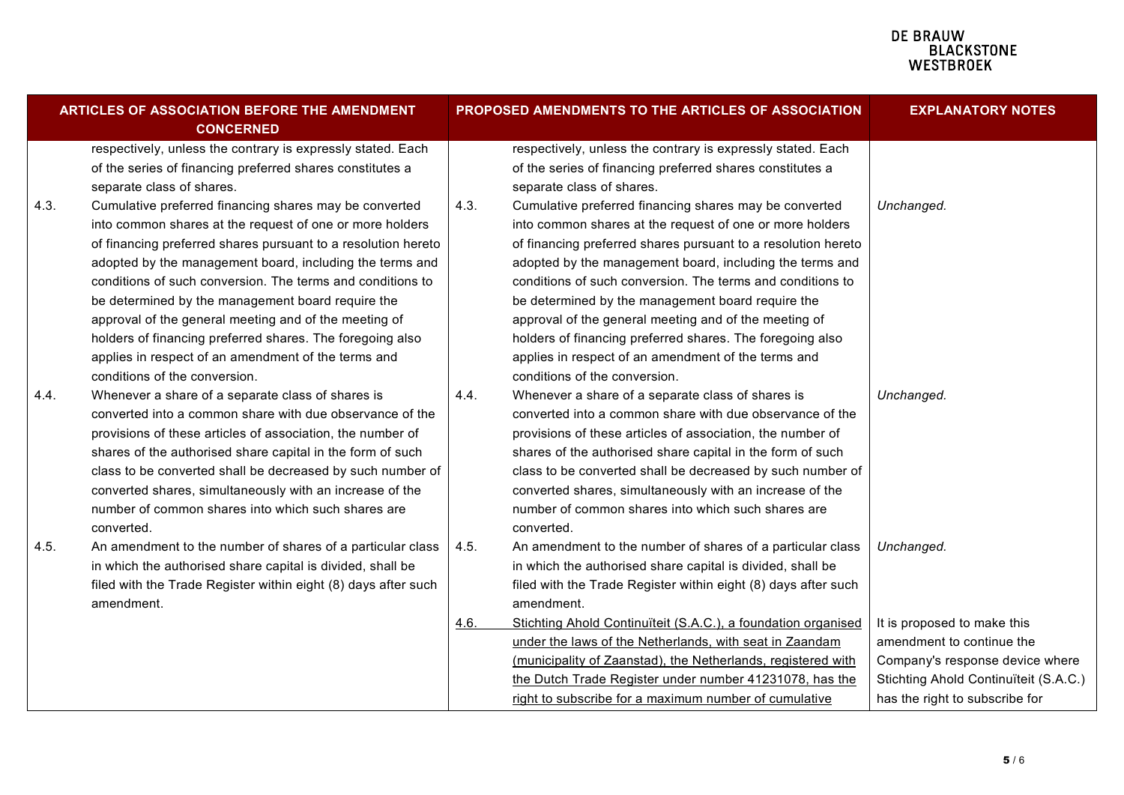## **DE BRAUW<br>BLACKSTONE<br>WESTBROEK**

|      | ARTICLES OF ASSOCIATION BEFORE THE AMENDMENT<br><b>CONCERNED</b> |      | PROPOSED AMENDMENTS TO THE ARTICLES OF ASSOCIATION             | <b>EXPLANATORY NOTES</b>              |
|------|------------------------------------------------------------------|------|----------------------------------------------------------------|---------------------------------------|
|      | respectively, unless the contrary is expressly stated. Each      |      | respectively, unless the contrary is expressly stated. Each    |                                       |
|      | of the series of financing preferred shares constitutes a        |      | of the series of financing preferred shares constitutes a      |                                       |
|      | separate class of shares.                                        |      | separate class of shares.                                      |                                       |
| 4.3. | Cumulative preferred financing shares may be converted           | 4.3. | Cumulative preferred financing shares may be converted         | Unchanged.                            |
|      | into common shares at the request of one or more holders         |      | into common shares at the request of one or more holders       |                                       |
|      | of financing preferred shares pursuant to a resolution hereto    |      | of financing preferred shares pursuant to a resolution hereto  |                                       |
|      | adopted by the management board, including the terms and         |      | adopted by the management board, including the terms and       |                                       |
|      | conditions of such conversion. The terms and conditions to       |      | conditions of such conversion. The terms and conditions to     |                                       |
|      | be determined by the management board require the                |      | be determined by the management board require the              |                                       |
|      | approval of the general meeting and of the meeting of            |      | approval of the general meeting and of the meeting of          |                                       |
|      | holders of financing preferred shares. The foregoing also        |      | holders of financing preferred shares. The foregoing also      |                                       |
|      | applies in respect of an amendment of the terms and              |      | applies in respect of an amendment of the terms and            |                                       |
|      | conditions of the conversion.                                    |      | conditions of the conversion.                                  |                                       |
| 4.4. | Whenever a share of a separate class of shares is                | 4.4. | Whenever a share of a separate class of shares is              | Unchanged.                            |
|      | converted into a common share with due observance of the         |      | converted into a common share with due observance of the       |                                       |
|      | provisions of these articles of association, the number of       |      | provisions of these articles of association, the number of     |                                       |
|      | shares of the authorised share capital in the form of such       |      | shares of the authorised share capital in the form of such     |                                       |
|      | class to be converted shall be decreased by such number of       |      | class to be converted shall be decreased by such number of     |                                       |
|      | converted shares, simultaneously with an increase of the         |      | converted shares, simultaneously with an increase of the       |                                       |
|      | number of common shares into which such shares are               |      | number of common shares into which such shares are             |                                       |
|      | converted.                                                       |      | converted.                                                     |                                       |
| 4.5. | An amendment to the number of shares of a particular class       | 4.5. | An amendment to the number of shares of a particular class     | Unchanged.                            |
|      | in which the authorised share capital is divided, shall be       |      | in which the authorised share capital is divided, shall be     |                                       |
|      | filed with the Trade Register within eight (8) days after such   |      | filed with the Trade Register within eight (8) days after such |                                       |
|      | amendment.                                                       |      | amendment.                                                     |                                       |
|      |                                                                  | 4.6. | Stichting Ahold Continuïteit (S.A.C.), a foundation organised  | It is proposed to make this           |
|      |                                                                  |      | under the laws of the Netherlands, with seat in Zaandam        | amendment to continue the             |
|      |                                                                  |      | (municipality of Zaanstad), the Netherlands, registered with   | Company's response device where       |
|      |                                                                  |      | the Dutch Trade Register under number 41231078, has the        | Stichting Ahold Continuïteit (S.A.C.) |
|      |                                                                  |      | right to subscribe for a maximum number of cumulative          | has the right to subscribe for        |